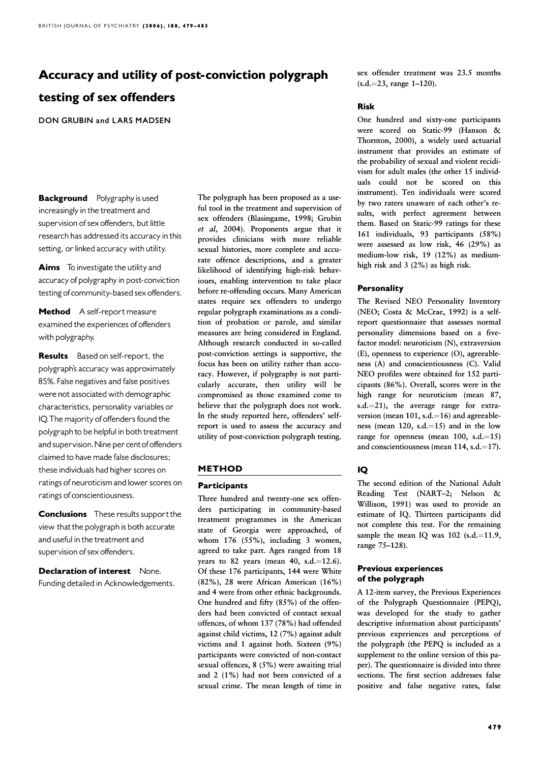# Accuracy and utility of post-conviction polygraph testing of sex offenders

DON GRUBIN and LARS MADSEN

**Background** Polygraphy is used increasingly in the treatment and supervision of sex offenders, but little research has addressed its accuracy in this setting, or linked accuracy with utility.

Aims To investigate the utility and accuracy of polygraphy in post-conviction testing of community-based sex offenders.

Method A self-report measure examined the experiences of offenders with polygraphy.

Results Based on self-report, the polygraph's accuracy was approximately 85%.False negatives and false positives were not associated with demographic characteristics, personality variables or characteristics, IQ.The majority of offenders found the polygraph to be helpful in both treatment and supervision. Nine per cent of offenders claimed to have made false disclosures; these individuals had higher scores on ratings of neuroticism and lower scores on ratings of conscientiousness.

**Conclusions** These results support the view that the polygraph is both accurate and useful in the treatment and supervision of sex offenders.

**Declaration of interest** None. Funding detailed in Acknowledgements. The polygraph has been proposed as a useful tool in the treatment and supervision of sex offenders (Blasingame, 1998; Grubin et al, 2004). Proponents argue that it provides clinicians with more reliable sexual histories, more complete and accurate offence descriptions, and a greater likelihood of identifying high-risk behaviours, enabling intervention to take place before re-offending occurs. Many American states require sex offenders to undergo regular polygraph examinations as a condition of probation or parole, and similar measures are being considered in England. Although research conducted in so-called post-conviction settings is supportive, the focus has been on utility rather than accuracy. However, if polygraphy is not particularly accurate, then utility will be compromised as those examined come to believe that the polygraph does not work. In the study reported here, offenders' selfreport is used to assess the accuracy and utility of post-conviction polygraph testing.

## METHOD

#### **Participants**

Three hundred and twenty-one sex offenders participating in community-based treatment programmes in the American state of Georgia were approached, of whom 176 (55%), including 3 women, agreed to take part. Ages ranged from 18 years to 82 years (mean 40, s.d. $=$ 12.6). Of these 176 participants, 144 were White (82%), 28 were African American (16%) and 4 were from other ethnic backgrounds. One hundred and fifty (85%) of the offenders had been convicted of contact sexual offences, of whom 137 (78%) had offended against child victims, 12 (7%) against adult victims and 1 against both. Sixteen (9%) participants were convicted of non-contact sexual offences, 8 (5%) were awaiting trial and 2 (1%) had not been convicted of a sexual crime. The mean length of time in

sex offender treatment was 23.5 months  $(s.d.=23, range 1-120).$ 

#### Risk

One hundred and sixty-one participants were scored on Static-99 (Hanson & Thornton, 2000), a widely used actuarial instrument that provides an estimate of the probability of sexual and violent recidivism for adult males (the other 15 individuals could not be scored on this instrument). Ten individuals were scored by two raters unaware of each other's results, with perfect agreement between them. Based on Static-99 ratings for these 161 individuals, 93 participants (58%) were assessed as low risk, 46 (29%) as medium-low risk, 19 (12%) as mediumhigh risk and  $3$  (2%) as high risk.

### **Personality**

The Revised NEO Personality Inventory (NEO; Costa & McCrae, 1992) is a selfreport questionnaire that assesses normal personality dimensions based on a fivefactor model: neuroticism (N), extraversion  $(E)$ , openness to experience  $(O)$ , agreeableness (A) and conscientiousness (C). Valid NEO profiles were obtained for 152 participants (86%). Overall, scores were in the high range for neuroticism (mean 87, s.d.=21), the average range for extraversion (mean  $101$ , s.d.=16) and agreeableness (mean  $120$ , s.d.= $15$ ) and in the low range for openness (mean 100, s.d. $=15$ ) and conscientiousness (mean  $114$ , s.d. = 17).

# IQ

The second edition of the National Adult Reading Test (NART–2; Nelson & Willison, 1991) was used to provide an estimate of IQ. Thirteen participants did not complete this test. For the remaining sample the mean IQ was  $102$  (s.d.=11.9, range 75–128).

## **Previous experiences** of the polygraph

A 12-item survey, the Previous Experiences of the Polygraph Questionnaire (PEPQ), was developed for the study to gather descriptive information about participants' previous experiences and perceptions of the polygraph (the PEPQ is included as a supplement to the online version of this paper). The questionnaire is divided into three sections. The first section addresses false positive and false negative rates, false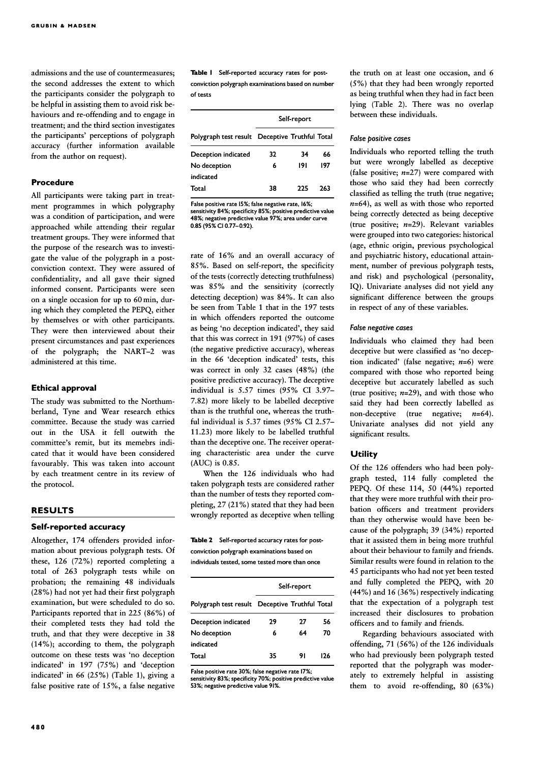admissions and the use of countermeasures; the second addresses the extent to which the participants consider the polygraph to be helpful in assisting them to avoid risk behaviours and re-offending and to engage in treatment; and the third section investigates the participants' perceptions of polygraph accuracy (further information available from the author on request).

#### Procedure

All participants were taking part in treatment programmes in which polygraphy was a condition of participation, and were approached while attending their regular treatment groups. They were informed that the purpose of the research was to investigate the value of the polygraph in a postconviction context. They were assured of confidentiality, and all gave their signed informed consent. Participants were seen on a single occasion for up to 60 min, during which they completed the PEPQ, either by themselves or with other participants. They were then interviewed about their present circumstances and past experiences of the polygraph; the NART–2 was administered at this time.

#### Ethical approval

The study was submitted to the Northumberland, Tyne and Wear research ethics committee. Because the study was carried out in the USA it fell outwith the committee's remit, but its memebrs indicated that it would have been considered favourably. This was taken into account by each treatment centre in its review of the protocol.

#### RESULTS

## Self-reported accuracy

Altogether, 174 offenders provided information about previous polygraph tests. Of these, 126 (72%) reported completing a total of 263 polygraph tests while on probation; the remaining 48 individuals (28%) had not yet had their first polygraph examination, but were scheduled to do so. Participants reported that in 225 (86%) of their completed tests they had told the truth, and that they were deceptive in 38 (14%); according to them, the polygraph outcome on these tests was 'no deception indicated' in 197 (75%) and 'deception indicated' in 66 (25%) (Table 1), giving a false positive rate of 15%, a false negative Table I Self-reported accuracy rates for postconviction polygraph examinations based on number of tests

|                                                | Self-report |     |     |
|------------------------------------------------|-------------|-----|-----|
| Polygraph test result Deceptive Truthful Total |             |     |     |
| Deception indicated                            | 32          | 34  | 66  |
| No deception                                   | 6           | 191 | 197 |
| indicated                                      |             |     |     |
| Total                                          | 38          | つつら | 263 |

False positive rate 15%; false negative rate, 16%; sensitivity 84%; specificity 85%; positive predictive value 48%; negative predictive value 97%; area under curve 48%;  $0.85$  (95% CI 0.77-0.92).

rate of 16% and an overall accuracy of 85%. Based on self-report, the specificity of the tests (correctly detecting truthfulness) was 85% and the sensitivity (correctly detecting deception) was 84%. It can also be seen from Table 1 that in the 197 tests in which offenders reported the outcome as being 'no deception indicated', they said that this was correct in 191 (97%) of cases (the negative predictive accuracy), whereas in the 66 'deception indicated' tests, this was correct in only 32 cases (48%) (the positive predictive accuracy). The deceptive individual is 5.57 times (95% CI 3.97– 7.82) more likely to be labelled deceptive than is the truthful one, whereas the truthful individual is 5.37 times (95% CI 2.57– 11.23) more likely to be labelled truthful than the deceptive one. The receiver operating characteristic area under the curve (AUC) is 0.85.

When the 126 individuals who had taken polygraph tests are considered rather than the number of tests they reported completing, 27 (21%) stated that they had been wrongly reported as deceptive when telling

Table 2 Self-reported accuracy rates for postconviction polygraph examinations based on individuals tested, some tested more than once

|                                                | Self-report |    |     |  |
|------------------------------------------------|-------------|----|-----|--|
| Polygraph test result Deceptive Truthful Total |             |    |     |  |
| Deception indicated                            | 29          | 27 | 56  |  |
| No deception                                   | 6           | 64 | 70  |  |
| indicated                                      |             |    |     |  |
| Total                                          | 35          | 91 | 176 |  |

False positive rate 30%; false negative rate 17%; sensitivity 83%; specificity 70%; positive predictive value 53%; negative predictive value 91%.

the truth on at least one occasion, and 6 (5%) that they had been wrongly reported as being truthful when they had in fact been lying (Table 2). There was no overlap between these individuals.

#### False positive cases

Individuals who reported telling the truth but were wrongly labelled as deceptive (false positive;  $n=27$ ) were compared with those who said they had been correctly classified as telling the truth (true negative;  $n=64$ ), as well as with those who reported being correctly detected as being deceptive (true positive;  $n=29$ ). Relevant variables were grouped into two categories: historical (age, ethnic origin, previous psychological and psychiatric history, educational attainment, number of previous polygraph tests, and risk) and psychological (personality, IQ). Univariate analyses did not yield any significant difference between the groups in respect of any of these variables.

#### False negative cases

Individuals who claimed they had been deceptive but were classified as 'no deception indicated' (false negative;  $n=6$ ) were compared with those who reported being deceptive but accurately labelled as such (true positive;  $n=29$ ), and with those who said they had been correctly labelled as non-deceptive (true negative;  $n=64$ ). Univariate analyses did not yield any significant results.

#### **Utility**

Of the 126 offenders who had been polygraph tested, 114 fully completed the PEPO. Of these 114, 50 (44%) reported that they were more truthful with their probation officers and treatment providers than they otherwise would have been because of the polygraph; 39 (34%) reported that it assisted them in being more truthful about their behaviour to family and friends. Similar results were found in relation to the 45 participants who had not yet been tested and fully completed the PEPQ, with 20 (44%) and 16 (36%) respectively indicating that the expectation of a polygraph test increased their disclosures to probation officers and to family and friends.

Regarding behaviours associated with offending, 71 (56%) of the 126 individuals who had previously been polygraph tested reported that the polygraph was moderately to extremely helpful in assisting them to avoid re-offending,  $80$  (63%)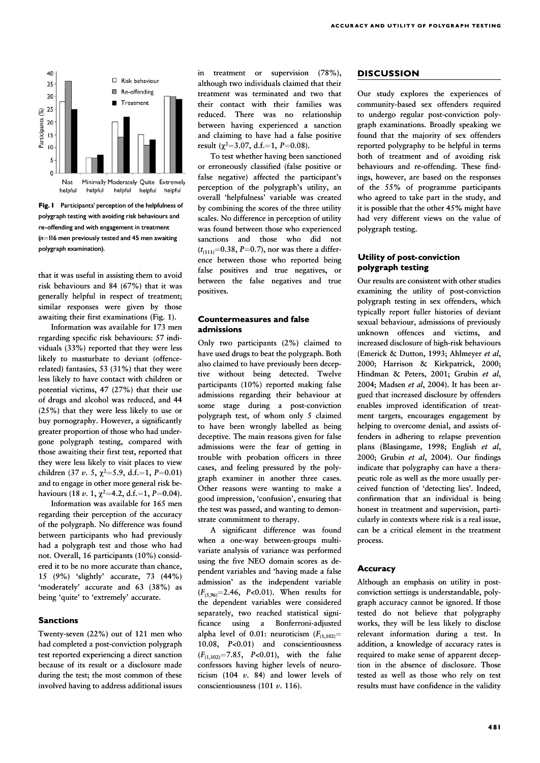

Fig. 1 Participants' perception of the helpfulness of polygraph testing with avoiding risk behaviours and re-offending and with engagement in treatment  $(n=116$  men previously tested and 45 men awaiting polygraph examination).

that it was useful in assisting them to avoid risk behaviours and 84 (67%) that it was generally helpful in respect of treatment; similar responses were given by those awaiting their first examinations (Fig. 1).

Information was available for 173 men regarding specific risk behaviours: 57 individuals (33%) reported that they were less likely to masturbate to deviant (offencerelated) fantasies, 53 (31%) that they were less likely to have contact with children or potential victims, 47 (27%) that their use of drugs and alcohol was reduced, and 44 (25%) that they were less likely to use or buy pornography. However, a significantly greater proportion of those who had undergone polygraph testing, compared with those awaiting their first test, reported that they were less likely to visit places to view children (37  $\nu$ . 5,  $\chi^2 = 5.9$ , d.f.=1, P=0.01) and to engage in other more general risk behaviours (18  $\nu$ . 1,  $\chi^2$ =4.2, d.f.=1, P=0.04).

Information was available for 165 men regarding their perception of the accuracy of the polygraph. No difference was found between participants who had previously had a polygraph test and those who had not. Overall, 16 participants (10%) considered it to be no more accurate than chance, 15 (9%) 'slightly' accurate, 73 (44%) 'moderately' accurate and 63 (38%) as being 'quite' to 'extremely' accurate.

#### **Sanctions**

Twenty-seven  $(22%)$  out of 121 men who had completed a post-conviction polygraph test reported experiencing a direct sanction because of its result or a disclosure made during the test; the most common of these involved having to address additional issues in treatment or supervision (78%), although two individuals claimed that their treatment was terminated and two that their contact with their families was reduced. There was no relationship between having experienced a sanction and claiming to have had a false positive result ( $\chi^2$ =3.07, d.f.=1, P=0.08).

To test whether having been sanctioned or erroneously classified (false positive or false negative) affected the participant's perception of the polygraph's utility, an overall 'helpfulness' variable was created by combining the scores of the three utility scales. No difference in perception of utility was found between those who experienced sanctions and those who did not  $(t<sub>(111)</sub>=0.38, P=0.7)$ , nor was there a difference between those who reported being false positives and true negatives, or between the false negatives and true positives.

#### Countermeasures and false admissions

Only two participants (2%) claimed to have used drugs to beat the polygraph. Both also claimed to have previously been deceptive without being detected. Twelve participants (10%) reported making false admissions regarding their behaviour at some stage during a post-conviction polygraph test, of whom only 5 claimed to have been wrongly labelled as being deceptive. The main reasons given for false admissions were the fear of getting in trouble with probation officers in three cases, and feeling pressured by the polygraph examiner in another three cases. Other reasons were wanting to make a good impression, 'confusion', ensuring that the test was passed, and wanting to demonstrate commitment to therapy.

A significant difference was found when a one-way between-groups multivariate analysis of variance was performed using the five NEO domain scores as dependent variables and 'having made a false admission' as the independent variable  $(F_{(5,96)}=2.46, P<0.01)$ . When results for the dependent variables were considered separately, two reached statistical significance using a Bonferroni-adjusted alpha level of 0.01: neuroticism  $(F_{(1,102)}=$ 10.08, P<0.01) and conscientiousness  $(F_{(1,102)}=7.85, P<0.01)$ , with the false confessors having higher levels of neuroticism (104  $v$ . 84) and lower levels of conscientiousness (101 v. 116).

#### **DISCUSSION**

Our study explores the experiences of community-based sex offenders required to undergo regular post-conviction polygraph examinations. Broadly speaking we found that the majority of sex offenders reported polygraphy to be helpful in terms both of treatment and of avoiding risk behaviours and re-offending. These findings, however, are based on the responses of the 55% of programme participants who agreed to take part in the study, and it is possible that the other 45% might have had very different views on the value of polygraph testing.

### Utility of post-conviction polygraph testing

Our results are consistent with other studies examining the utility of post-conviction polygraph testing in sex offenders, which typically report fuller histories of deviant sexual behaviour, admissions of previously unknown offences and victims, and increased disclosure of high-risk behaviours (Emerick & Dutton, 1993; Ahlmeyer et al, 2000; Harrison & Kirkpatrick, 2000; Hindman & Peters, 2001; Grubin et al, 2004; Madsen et al, 2004). It has been argued that increased disclosure by offenders enables improved identification of treatment targets, encourages engagement by helping to overcome denial, and assists offenders in adhering to relapse prevention plans (Blasingame, 1998; English et al, 2000; Grubin et al, 2004). Our findings indicate that polygraphy can have a therapeutic role as well as the more usually perceived function of 'detecting lies'. Indeed, confirmation that an individual is being honest in treatment and supervision, particularly in contexts where risk is a real issue, can be a critical element in the treatment process.

#### **Accuracy**

Although an emphasis on utility in postconviction settings is understandable, polygraph accuracy cannot be ignored. If those tested do not believe that polygraphy works, they will be less likely to disclose relevant information during a test. In addition, a knowledge of accuracy rates is required to make sense of apparent deception in the absence of disclosure. Those tested as well as those who rely on test results must have confidence in the validity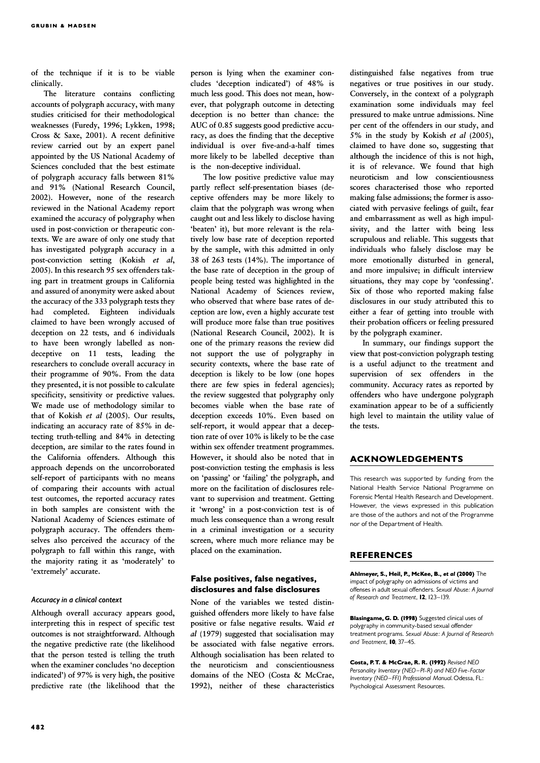of the technique if it is to be viable clinically.

The literature contains conflicting accounts of polygraph accuracy, with many studies criticised for their methodological weaknesses (Furedy, 1996; Lykken, 1998; Cross & Saxe, 2001). A recent definitive review carried out by an expert panel appointed by the US National Academy of Sciences concluded that the best estimate of polygraph accuracy falls between 81% and 91% (National Research Council, 2002). However, none of the research reviewed in the National Academy report examined the accuracy of polygraphy when used in post-conviction or therapeutic contexts. We are aware of only one study that has investigated polygraph accuracy in a post-conviction setting (Kokish et al, 2005). In this research 95 sex offenders taking part in treatment groups in California and assured of anonymity were asked about the accuracy of the 333 polygraph tests they had completed. Eighteen individuals claimed to have been wrongly accused of deception on 22 tests, and 6 individuals to have been wrongly labelled as nondeceptive on 11 tests, leading the researchers to conclude overall accuracy in their programme of 90%. From the data they presented, it is not possible to calculate specificity, sensitivity or predictive values. We made use of methodology similar to that of Kokish et al (2005). Our results, indicating an accuracy rate of 85% in detecting truth-telling and 84% in detecting deception, are similar to the rates found in the California offenders. Although this approach depends on the uncorroborated self-report of participants with no means of comparing their accounts with actual test outcomes, the reported accuracy rates in both samples are consistent with the National Academy of Sciences estimate of polygraph accuracy. The offenders themselves also perceived the accuracy of the polygraph to fall within this range, with the majority rating it as 'moderately' to 'extremely' accurate.

#### Accuracy in a clinical context

Although overall accuracy appears good, interpreting this in respect of specific test outcomes is not straightforward. Although the negative predictive rate (the likelihood that the person tested is telling the truth when the examiner concludes 'no deception indicated') of 97% is very high, the positive predictive rate (the likelihood that the person is lying when the examiner concludes 'deception indicated') of 48% is much less good. This does not mean, however, that polygraph outcome in detecting deception is no better than chance: the AUC of 0.85 suggests good predictive accuracy, as does the finding that the deceptive individual is over five-and-a-half times more likely to be labelled deceptive than is the non-deceptive individual.

The low positive predictive value may partly reflect self-presentation biases (deceptive offenders may be more likely to claim that the polygraph was wrong when caught out and less likely to disclose having 'beaten' it), but more relevant is the relatively low base rate of deception reported by the sample, with this admitted in only 38 of 263 tests (14%). The importance of the base rate of deception in the group of people being tested was highlighted in the National Academy of Sciences review, who observed that where base rates of deception are low, even a highly accurate test will produce more false than true positives (National Research Council, 2002). It is one of the primary reasons the review did not support the use of polygraphy in security contexts, where the base rate of deception is likely to be low (one hopes there are few spies in federal agencies); the review suggested that polygraphy only becomes viable when the base rate of deception exceeds 10%. Even based on self-report, it would appear that a deception rate of over 10% is likely to be the case within sex offender treatment programmes. However, it should also be noted that in post-conviction testing the emphasis is less on 'passing' or 'failing' the polygraph, and more on the facilitation of disclosures relevant to supervision and treatment. Getting it 'wrong' in a post-conviction test is of much less consequence than a wrong result in a criminal investigation or a security screen, where much more reliance may be placed on the examination.

## False positives, false negatives, disclosures and false disclosures

None of the variables we tested distinguished offenders more likely to have false positive or false negative results. Waid et al (1979) suggested that socialisation may be associated with false negative errors. Although socialisation has been related to the neuroticism and conscientiousness domains of the NEO (Costa & McCrae, 1992), neither of these characteristics distinguished false negatives from true negatives or true positives in our study. Conversely, in the context of a polygraph examination some individuals may feel pressured to make untrue admissions. Nine per cent of the offenders in our study, and 5% in the study by Kokish et al (2005), claimed to have done so, suggesting that although the incidence of this is not high, it is of relevance. We found that high neuroticism and low conscientiousness scores characterised those who reported making false admissions; the former is associated with pervasive feelings of guilt, fear and embarrassment as well as high impulsivity, and the latter with being less scrupulous and reliable. This suggests that individuals who falsely disclose may be more emotionally disturbed in general, and more impulsive; in difficult interview situations, they may cope by 'confessing'. Six of those who reported making false disclosures in our study attributed this to either a fear of getting into trouble with their probation officers or feeling pressured by the polygraph examiner.

In summary, our findings support the view that post-conviction polygraph testing is a useful adjunct to the treatment and supervision of sex offenders in the community. Accuracy rates as reported by offenders who have undergone polygraph examination appear to be of a sufficiently high level to maintain the utility value of the tests.

#### ACKNOWLEDGEMENTS

This research was supported by funding from the National Health Service National Programme on Forensic Mental Health Research and Development. However, the views expressed in this publication are those of the authors and not of the Programme nor of the Department of Health.

#### REFERENCES

Ahlmeyer, S., Heil, P., McKee, B., et al (2000) The impact of polygraphy on admissions of victims and offenses in adult sexual offenders. Sexual Abuse: A Journal of Research and Treatment, 12, 123-139.

Blasingame, G. D. (1998) Suggested clinical uses of polygraphy in community-based sexual offender treatment programs. Sexual Abuse: A Journal of Research and Treatment.  $\overline{10}$ , 37-45.

Costa, P.T. & McCrae, R.R. (1992) Revised NEO Personality Inventory (NEO-PI-R) and NEO Five-Factor Inventory (NEO-FFI) Professional Manual Odessa, FL: Psychological Assessment Resources.